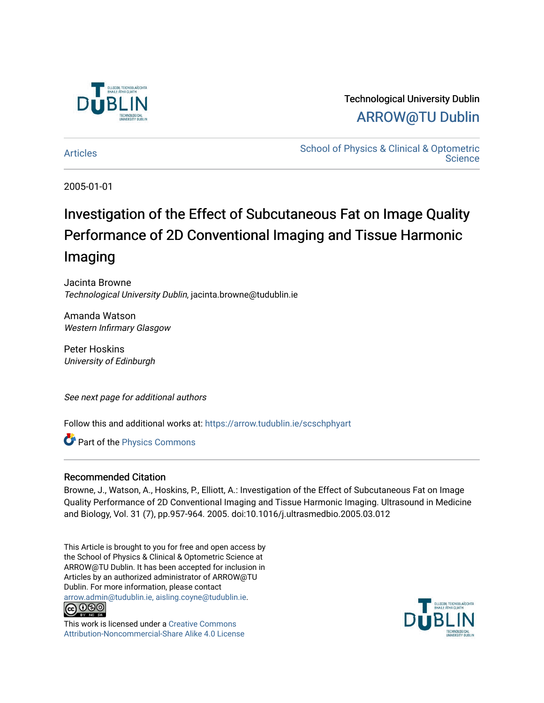

### Technological University Dublin [ARROW@TU Dublin](https://arrow.tudublin.ie/)

[Articles](https://arrow.tudublin.ie/scschphyart) **School of Physics & Clinical & Optometric Science** 

2005-01-01

# Investigation of the Effect of Subcutaneous Fat on Image Quality Performance of 2D Conventional Imaging and Tissue Harmonic Imaging

Jacinta Browne Technological University Dublin, jacinta.browne@tudublin.ie

Amanda Watson Western Infirmary Glasgow

Peter Hoskins University of Edinburgh

See next page for additional authors

Follow this and additional works at: [https://arrow.tudublin.ie/scschphyart](https://arrow.tudublin.ie/scschphyart?utm_source=arrow.tudublin.ie%2Fscschphyart%2F8&utm_medium=PDF&utm_campaign=PDFCoverPages)

Part of the [Physics Commons](http://network.bepress.com/hgg/discipline/193?utm_source=arrow.tudublin.ie%2Fscschphyart%2F8&utm_medium=PDF&utm_campaign=PDFCoverPages)

#### Recommended Citation

Browne, J., Watson, A., Hoskins, P., Elliott, A.: Investigation of the Effect of Subcutaneous Fat on Image Quality Performance of 2D Conventional Imaging and Tissue Harmonic Imaging. Ultrasound in Medicine and Biology, Vol. 31 (7), pp.957-964. 2005. doi:10.1016/j.ultrasmedbio.2005.03.012

This Article is brought to you for free and open access by the School of Physics & Clinical & Optometric Science at ARROW@TU Dublin. It has been accepted for inclusion in Articles by an authorized administrator of ARROW@TU Dublin. For more information, please contact [arrow.admin@tudublin.ie, aisling.coyne@tudublin.ie](mailto:arrow.admin@tudublin.ie,%20aisling.coyne@tudublin.ie).



This work is licensed under a [Creative Commons](http://creativecommons.org/licenses/by-nc-sa/4.0/) [Attribution-Noncommercial-Share Alike 4.0 License](http://creativecommons.org/licenses/by-nc-sa/4.0/)

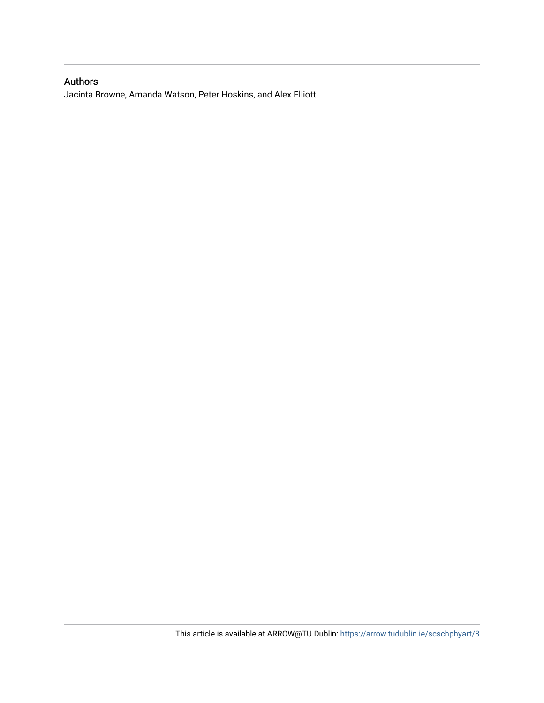### Authors

Jacinta Browne, Amanda Watson, Peter Hoskins, and Alex Elliott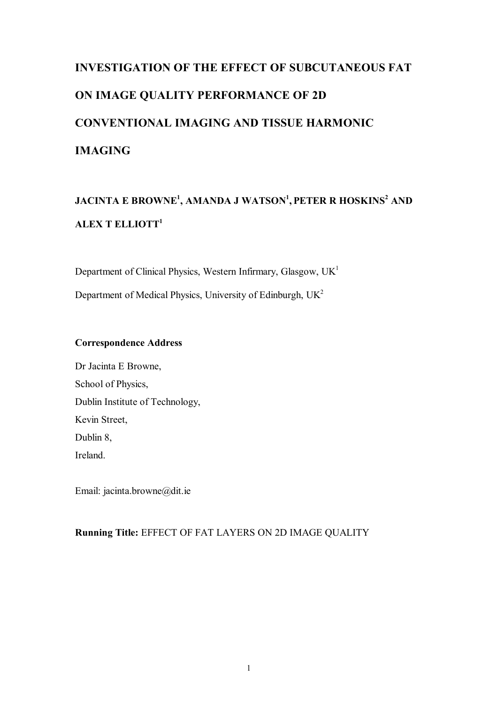# **INVESTIGATION OF THE EFFECT OF SUBCUTANEOUS FAT ON IMAGE QUALITY PERFORMANCE OF 2D CONVENTIONAL IMAGING AND TISSUE HARMONIC IMAGING**

## **JACINTA E BROWNE<sup>1</sup> , AMANDA J WATSON <sup>1</sup> , PETER R HOSKINS <sup>2</sup> AND ALEX T ELLIOTT<sup>1</sup>**

Department of Clinical Physics, Western Infirmary, Glasgow,  $UK<sup>1</sup>$ Department of Medical Physics, University of Edinburgh,  $UK<sup>2</sup>$ 

#### **Correspondence Address**

Dr Jacinta E Browne, School of Physics, Dublin Institute of Technology, Kevin Street, Dublin 8, Ireland.

Email: jacinta.browne@dit.ie

#### **Running Title:** EFFECT OF FAT LAYERS ON 2D IMAGE QUALITY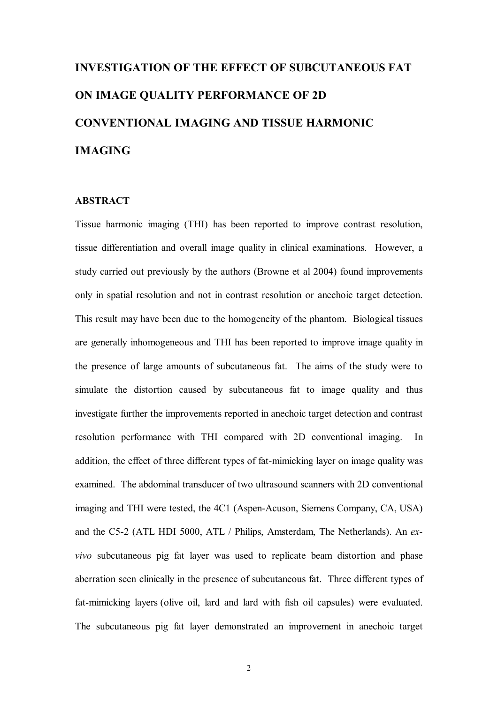# **INVESTIGATION OF THE EFFECT OF SUBCUTANEOUS FAT ON IMAGE QUALITY PERFORMANCE OF 2D CONVENTIONAL IMAGING AND TISSUE HARMONIC IMAGING**

#### **ABSTRACT**

Tissue harmonic imaging (THI) has been reported to improve contrast resolution, tissue differentiation and overall image quality in clinical examinations. However, a study carried out previously by the authors (Browne et al 2004) found improvements only in spatial resolution and not in contrast resolution or anechoic target detection. This result may have been due to the homogeneity of the phantom. Biological tissues are generally inhomogeneous and THI has been reported to improve image quality in the presence of large amounts of subcutaneous fat. The aims of the study were to simulate the distortion caused by subcutaneous fat to image quality and thus investigate further the improvements reported in anechoic target detection and contrast resolution performance with THI compared with 2D conventional imaging. In addition, the effect of three different types of fat-mimicking layer on image quality was examined. The abdominal transducer of two ultrasound scanners with 2D conventional imaging and THI were tested, the 4C1 (Aspen-Acuson, Siemens Company, CA, USA) and the C52 (ATL HDI 5000, ATL / Philips, Amsterdam, The Netherlands). An *exvivo* subcutaneous pig fat layer was used to replicate beam distortion and phase aberration seen clinically in the presence of subcutaneous fat. Three different types of fat-mimicking layers (olive oil, lard and lard with fish oil capsules) were evaluated. The subcutaneous pig fat layer demonstrated an improvement in anechoic target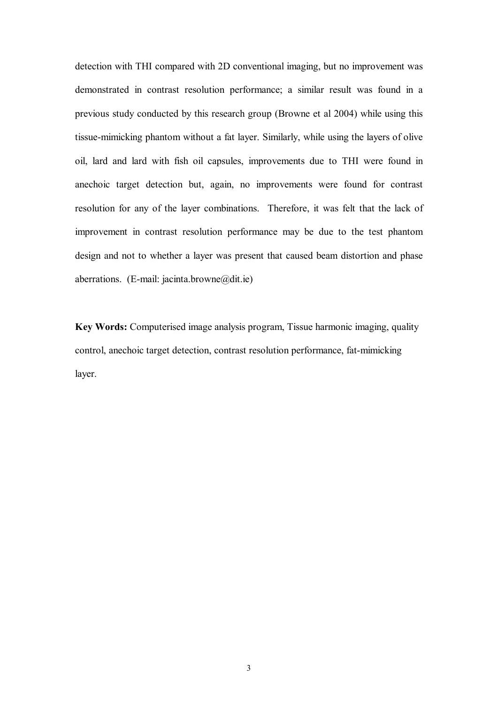detection with THI compared with 2D conventional imaging, but no improvement was demonstrated in contrast resolution performance; a similar result was found in a previous study conducted by this research group (Browne et al 2004) while using this tissue-mimicking phantom without a fat layer. Similarly, while using the layers of olive oil, lard and lard with fish oil capsules, improvements due to THI were found in anechoic target detection but, again, no improvements were found for contrast resolution for any of the layer combinations. Therefore, it was felt that the lack of improvement in contrast resolution performance may be due to the test phantom design and not to whether a layer was present that caused beam distortion and phase aberrations. (E-mail: jacinta.browne@dit.ie)

**Key Words:** Computerised image analysis program, Tissue harmonic imaging, quality control, anechoic target detection, contrast resolution performance, fat-mimicking layer.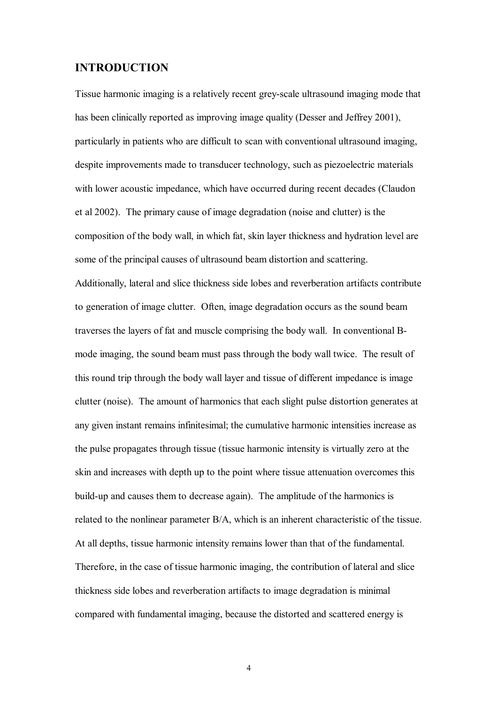### **INTRODUCTION**

Tissue harmonic imaging is a relatively recent grey-scale ultrasound imaging mode that has been clinically reported as improving image quality (Desser and Jeffrey 2001), particularly in patients who are difficult to scan with conventional ultrasound imaging, despite improvements made to transducer technology, such as piezoelectric materials with lower acoustic impedance, which have occurred during recent decades (Claudon et al 2002). The primary cause of image degradation (noise and clutter) is the composition of the body wall, in which fat, skin layer thickness and hydration level are some of the principal causes of ultrasound beam distortion and scattering. Additionally, lateral and slice thickness side lobes and reverberation artifacts contribute to generation of image clutter. Often, image degradation occurs as the sound beam traverses the layers of fat and muscle comprising the body wall. In conventional B mode imaging, the sound beam must pass through the body wall twice. The result of this round trip through the body wall layer and tissue of different impedance is image clutter (noise). The amount of harmonics that each slight pulse distortion generates at any given instant remains infinitesimal; the cumulative harmonic intensities increase as the pulse propagates through tissue (tissue harmonic intensity is virtually zero at the skin and increases with depth up to the point where tissue attenuation overcomes this build-up and causes them to decrease again). The amplitude of the harmonics is related to the nonlinear parameter B/A, which is an inherent characteristic of the tissue. At all depths, tissue harmonic intensity remains lower than that of the fundamental. Therefore, in the case of tissue harmonic imaging, the contribution of lateral and slice thickness side lobes and reverberation artifacts to image degradation is minimal compared with fundamental imaging, because the distorted and scattered energy is

4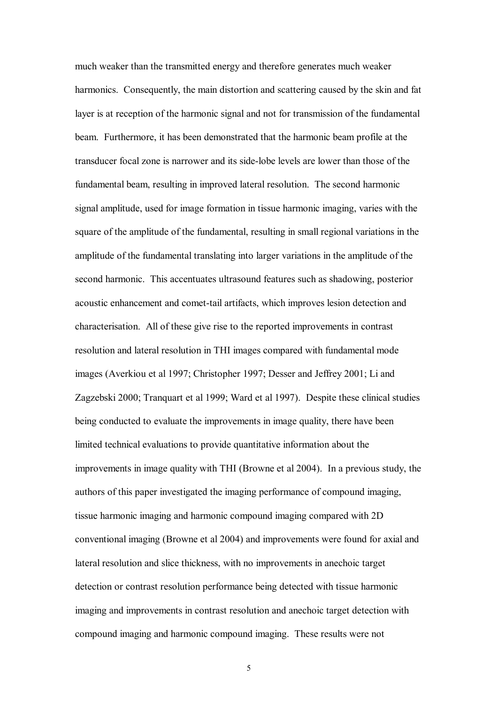much weaker than the transmitted energy and therefore generates much weaker harmonics. Consequently, the main distortion and scattering caused by the skin and fat layer is at reception of the harmonic signal and not for transmission of the fundamental beam. Furthermore, it has been demonstrated that the harmonic beam profile at the transducer focal zone is narrower and its side-lobe levels are lower than those of the fundamental beam, resulting in improved lateral resolution. The second harmonic signal amplitude, used for image formation in tissue harmonic imaging, varies with the square of the amplitude of the fundamental, resulting in small regional variations in the amplitude of the fundamental translating into larger variations in the amplitude of the second harmonic. This accentuates ultrasound features such as shadowing, posterior acoustic enhancement and comet-tail artifacts, which improves lesion detection and characterisation. All of these give rise to the reported improvements in contrast resolution and lateral resolution in THI images compared with fundamental mode images (Averkiou et al 1997; Christopher 1997; Desser and Jeffrey 2001; Li and Zagzebski 2000; Tranquart et al 1999; Ward et al 1997). Despite these clinical studies being conducted to evaluate the improvements in image quality, there have been limited technical evaluations to provide quantitative information about the improvements in image quality with THI (Browne et al 2004). In a previous study, the authors of this paper investigated the imaging performance of compound imaging, tissue harmonic imaging and harmonic compound imaging compared with 2D conventional imaging (Browne et al 2004) and improvements were found for axial and lateral resolution and slice thickness, with no improvements in anechoic target detection or contrast resolution performance being detected with tissue harmonic imaging and improvements in contrast resolution and anechoic target detection with compound imaging and harmonic compound imaging. These results were not

5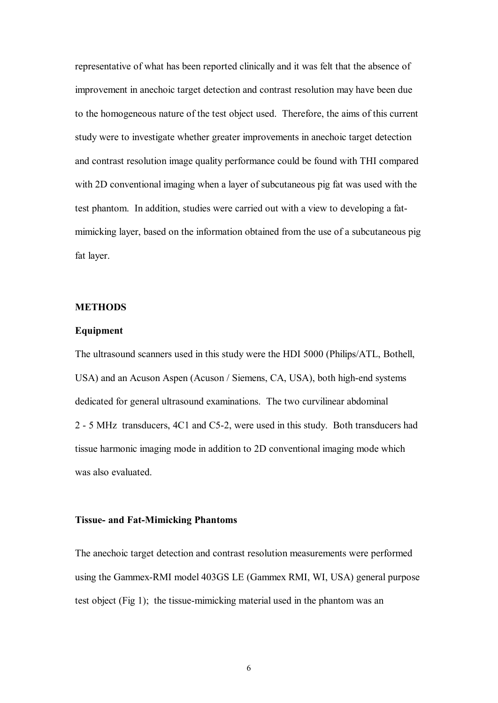representative of what has been reported clinically and it was felt that the absence of improvement in anechoic target detection and contrast resolution may have been due to the homogeneous nature of the test object used. Therefore, the aims of this current study were to investigate whether greater improvements in anechoic target detection and contrast resolution image quality performance could be found with THI compared with 2D conventional imaging when a layer of subcutaneous pig fat was used with the test phantom. In addition, studies were carried out with a view to developing a fat mimicking layer, based on the information obtained from the use of a subcutaneous pig fat layer.

#### **METHODS**

#### **Equipment**

The ultrasound scanners used in this study were the HDI 5000 (Philips/ATL, Bothell, USA) and an Acuson Aspen (Acuson / Siemens, CA, USA), both high-end systems dedicated for general ultrasound examinations. The two curvilinear abdominal 2 5 MHz transducers, 4C1 and C52, were used in this study. Both transducers had tissue harmonic imaging mode in addition to 2D conventional imaging mode which was also evaluated.

#### **Tissue- and Fat-Mimicking Phantoms**

The anechoic target detection and contrast resolution measurements were performed using the Gammex-RMI model 403GS LE (Gammex RMI, WI, USA) general purpose test object (Fig 1); the tissue-mimicking material used in the phantom was an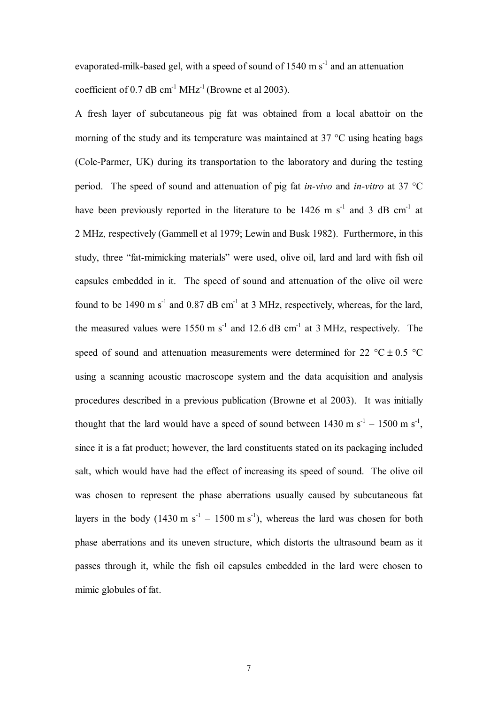evaporated-milk-based gel, with a speed of sound of 1540 m  $s<sup>-1</sup>$  and an attenuation coefficient of 0.7 dB cm<sup>-1</sup>  $MHz^{-1}$  (Browne et al 2003).

A fresh layer of subcutaneous pig fat was obtained from a local abattoir on the morning of the study and its temperature was maintained at 37 °C using heating bags (Cole-Parmer, UK) during its transportation to the laboratory and during the testing period. The speed of sound and attenuation of pig fat *in-vivo* and *in-vitro* at 37 °C have been previously reported in the literature to be  $1426$  m s<sup>-1</sup> and 3 dB cm<sup>-1</sup> at 2 MHz, respectively (Gammell et al 1979; Lewin and Busk 1982). Furthermore, in this study, three "fat-mimicking materials" were used, olive oil, lard and lard with fish oil capsules embedded in it. The speed of sound and attenuation of the olive oil were found to be 1490 m  $s^{-1}$  and 0.87 dB cm<sup>-1</sup> at 3 MHz, respectively, whereas, for the lard, the measured values were  $1550 \text{ m s}^{-1}$  and  $12.6 \text{ dB cm}^{-1}$  at 3 MHz, respectively. The speed of sound and attenuation measurements were determined for 22  $^{\circ}$ C  $\pm$  0.5  $^{\circ}$ C using a scanning acoustic macroscope system and the data acquisition and analysis procedures described in a previous publication (Browne et al 2003). It was initially thought that the lard would have a speed of sound between  $1430 \text{ m s}^{-1} - 1500 \text{ m s}^{-1}$ , since it is a fat product; however, the lard constituents stated on its packaging included salt, which would have had the effect of increasing its speed of sound. The olive oil was chosen to represent the phase aberrations usually caused by subcutaneous fat layers in the body  $(1430 \text{ m s}^{-1} - 1500 \text{ m s}^{-1})$ , whereas the lard was chosen for both phase aberrations and its uneven structure, which distorts the ultrasound beam as it passes through it, while the fish oil capsules embedded in the lard were chosen to mimic globules of fat.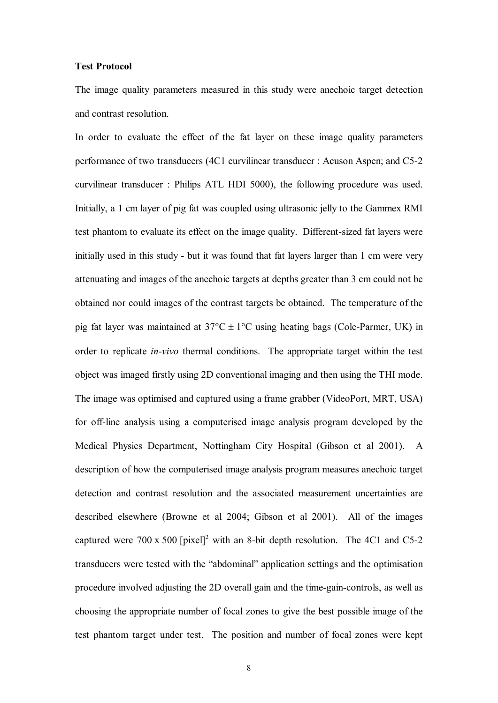#### **Test Protocol**

The image quality parameters measured in this study were anechoic target detection and contrast resolution.

In order to evaluate the effect of the fat layer on these image quality parameters performance of two transducers (4C1 curvilinear transducer : Acuson Aspen; and C52 curvilinear transducer : Philips ATL HDI 5000), the following procedure was used. Initially, a 1 cm layer of pig fat was coupled using ultrasonic jelly to the Gammex RMI test phantom to evaluate its effect on the image quality. Different-sized fat layers were initially used in this study - but it was found that fat layers larger than 1 cm were very attenuating and images of the anechoic targets at depths greater than 3 cm could not be obtained nor could images of the contrast targets be obtained. The temperature of the pig fat layer was maintained at  $37^{\circ}$ C  $\pm$  1°C using heating bags (Cole-Parmer, UK) in order to replicate *in-vivo* thermal conditions. The appropriate target within the test object was imaged firstly using 2D conventional imaging and then using the THI mode. The image was optimised and captured using a frame grabber (VideoPort, MRT, USA) for off-line analysis using a computerised image analysis program developed by the Medical Physics Department, Nottingham City Hospital (Gibson et al 2001). A description of how the computerised image analysis program measures anechoic target detection and contrast resolution and the associated measurement uncertainties are described elsewhere (Browne et al 2004; Gibson et al 2001). All of the images captured were 700 x 500 [pixel]<sup>2</sup> with an 8-bit depth resolution. The 4C1 and C5-2 transducers were tested with the "abdominal" application settings and the optimisation procedure involved adjusting the 2D overall gain and the time-gain-controls, as well as choosing the appropriate number of focal zones to give the best possible image of the test phantom target under test. The position and number of focal zones were kept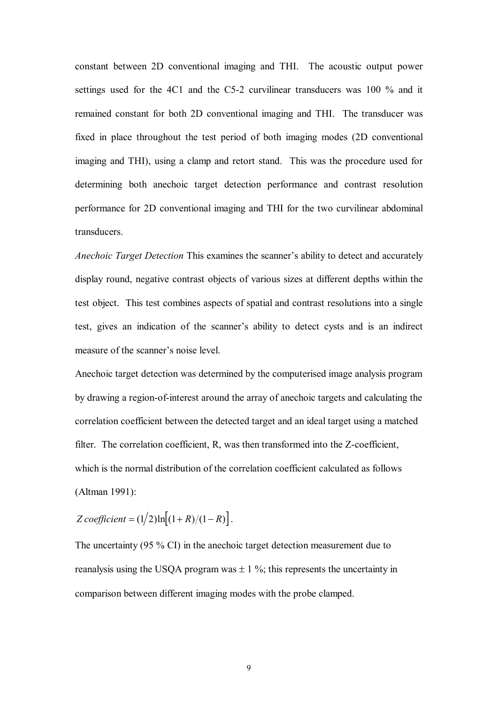constant between 2D conventional imaging and THI. The acoustic output power settings used for the 4C1 and the C5-2 curvilinear transducers was 100 % and it remained constant for both 2D conventional imaging and THI. The transducer was fixed in place throughout the test period of both imaging modes (2D conventional imaging and THI), using a clamp and retort stand. This was the procedure used for determining both anechoic target detection performance and contrast resolution performance for 2D conventional imaging and THI for the two curvilinear abdominal transducers.

*Anechoic Target Detection* This examines the scanner's ability to detect and accurately display round, negative contrast objects of various sizes at different depths within the test object. This test combines aspects of spatial and contrast resolutions into a single test, gives an indication of the scanner's ability to detect cysts and is an indirect measure of the scanner's noise level.

Anechoic target detection was determined by the computerised image analysis program by drawing a region-of-interest around the array of anechoic targets and calculating the correlation coefficient between the detected target and an ideal target using a matched filter. The correlation coefficient,  $R$ , was then transformed into the  $Z$ -coefficient, which is the normal distribution of the correlation coefficient calculated as follows (Altman 1991):

*Z coefficient* =  $(1/2)$ ln $[(1 + R)/(1 - R)]$ .

The uncertainty (95 % CI) in the anechoic target detection measurement due to reanalysis using the USQA program was  $\pm$  1 %; this represents the uncertainty in comparison between different imaging modes with the probe clamped.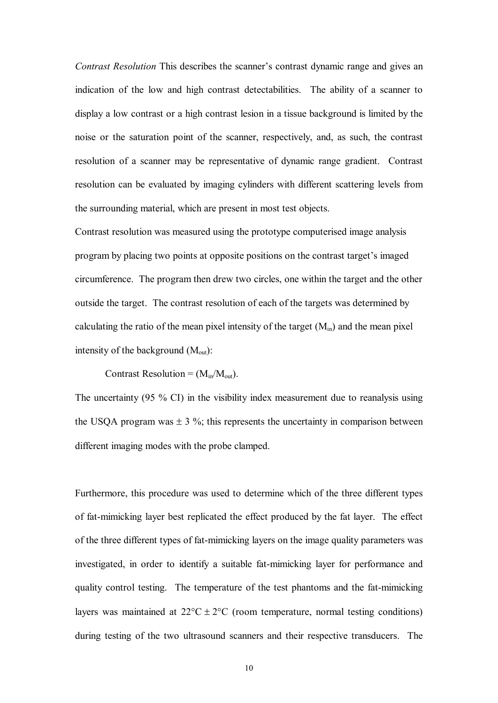*Contrast Resolution* This describes the scanner's contrast dynamic range and gives an indication of the low and high contrast detectabilities. The ability of a scanner to display a low contrast or a high contrast lesion in a tissue background is limited by the noise or the saturation point of the scanner, respectively, and, as such, the contrast resolution of a scanner may be representative of dynamic range gradient. Contrast resolution can be evaluated by imaging cylinders with different scattering levels from the surrounding material, which are present in most test objects.

Contrast resolution was measured using the prototype computerised image analysis program by placing two points at opposite positions on the contrast target's imaged circumference. The program then drew two circles, one within the target and the other outside the target. The contrast resolution of each of the targets was determined by calculating the ratio of the mean pixel intensity of the target  $(M_{in})$  and the mean pixel intensity of the background  $(M_{out})$ :

Contrast Resolution =  $(M_{in}/M_{out})$ .

The uncertainty (95 % CI) in the visibility index measurement due to reanalysis using the USQA program was  $\pm 3$  %; this represents the uncertainty in comparison between different imaging modes with the probe clamped.

Furthermore, this procedure was used to determine which of the three different types of fat-mimicking layer best replicated the effect produced by the fat layer. The effect of the three different types of fat-mimicking layers on the image quality parameters was investigated, in order to identify a suitable fat-mimicking layer for performance and quality control testing. The temperature of the test phantoms and the fat-mimicking layers was maintained at  $22^{\circ}C \pm 2^{\circ}C$  (room temperature, normal testing conditions) during testing of the two ultrasound scanners and their respective transducers. The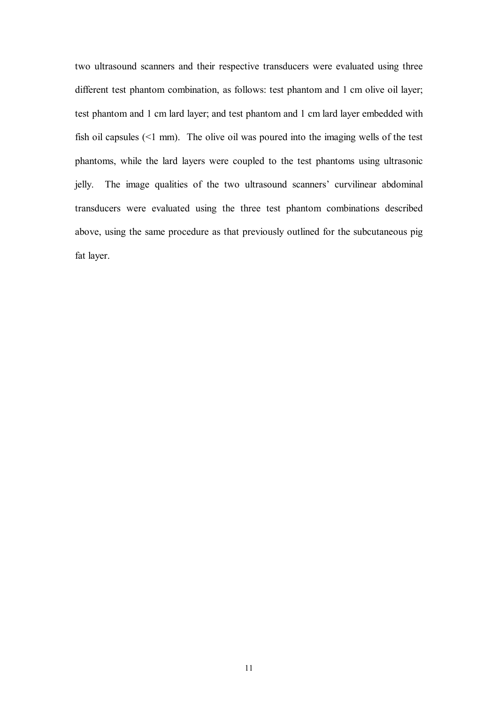two ultrasound scanners and their respective transducers were evaluated using three different test phantom combination, as follows: test phantom and 1 cm olive oil layer; test phantom and 1 cm lard layer; and test phantom and 1 cm lard layer embedded with fish oil capsules (<1 mm). The olive oil was poured into the imaging wells of the test phantoms, while the lard layers were coupled to the test phantoms using ultrasonic jelly. The image qualities of the two ultrasound scanners' curvilinear abdominal transducers were evaluated using the three test phantom combinations described above, using the same procedure as that previously outlined for the subcutaneous pig fat layer.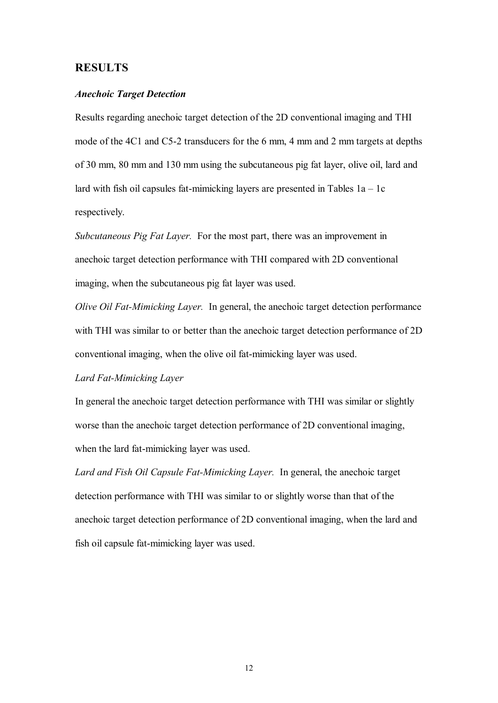#### **RESULTS**

#### *Anechoic Target Detection*

Results regarding anechoic target detection of the 2D conventional imaging and THI mode of the 4C1 and C5-2 transducers for the 6 mm, 4 mm and 2 mm targets at depths of 30 mm, 80 mm and 130 mm using the subcutaneous pig fat layer, olive oil, lard and lard with fish oil capsules fat-mimicking layers are presented in Tables  $1a - 1c$ respectively.

*Subcutaneous Pig Fat Layer.* For the most part, there was an improvement in anechoic target detection performance with THI compared with 2D conventional imaging, when the subcutaneous pig fat layer was used.

*Olive Oil Fat-Mimicking Layer.* In general, the anechoic target detection performance with THI was similar to or better than the anechoic target detection performance of 2D conventional imaging, when the olive oil fat-mimicking layer was used.

#### **Lard Fat-Mimicking Layer**

In general the anechoic target detection performance with THI was similar or slightly worse than the anechoic target detection performance of 2D conventional imaging, when the lard fat-mimicking layer was used.

Lard and Fish Oil Capsule Fat-Mimicking Layer. In general, the anechoic target detection performance with THI was similar to or slightly worse than that of the anechoic target detection performance of 2D conventional imaging, when the lard and fish oil capsule fat-mimicking layer was used.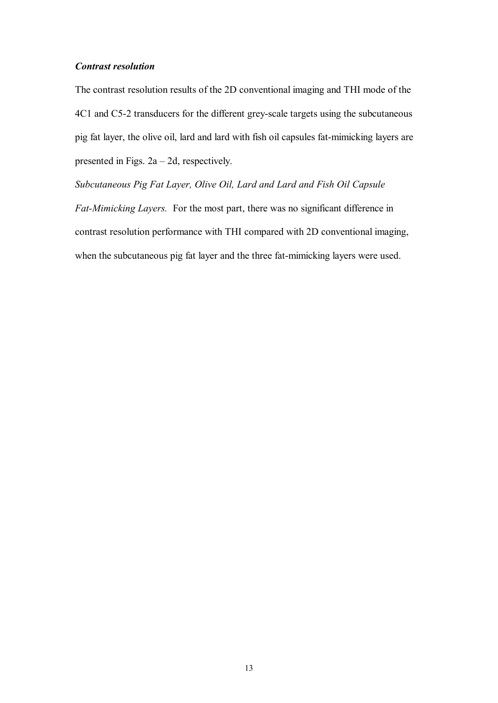#### *Contrast resolution*

The contrast resolution results of the 2D conventional imaging and THI mode of the 4C1 and C5-2 transducers for the different grey-scale targets using the subcutaneous pig fat layer, the olive oil, lard and lard with fish oil capsules fatmimicking layers are presented in Figs. 2a – 2d, respectively.

*Subcutaneous Pig Fat Layer, Olive Oil, Lard and Lard and Fish Oil Capsule Fat-Mimicking Layers.* For the most part, there was no significant difference in contrast resolution performance with THI compared with 2D conventional imaging, when the subcutaneous pig fat layer and the three fat-mimicking layers were used.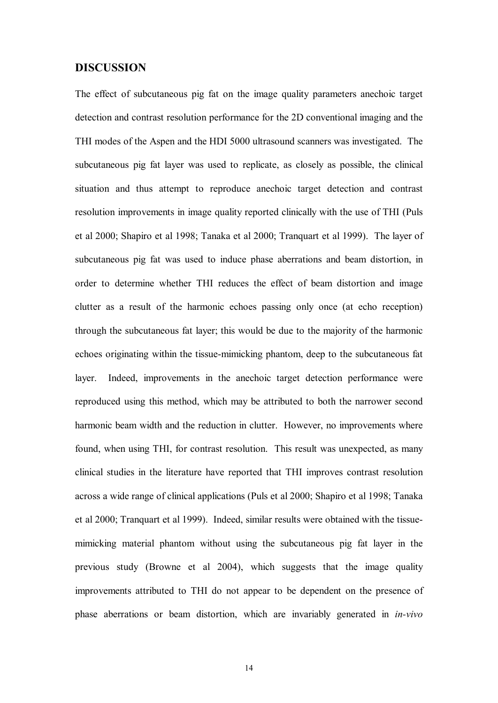#### **DISCUSSION**

The effect of subcutaneous pig fat on the image quality parameters anechoic target detection and contrast resolution performance for the 2D conventional imaging and the THI modes of the Aspen and the HDI 5000 ultrasound scanners was investigated. The subcutaneous pig fat layer was used to replicate, as closely as possible, the clinical situation and thus attempt to reproduce anechoic target detection and contrast resolution improvements in image quality reported clinically with the use of THI (Puls et al 2000; Shapiro et al 1998; Tanaka et al 2000; Tranquart et al 1999). The layer of subcutaneous pig fat was used to induce phase aberrations and beam distortion, in order to determine whether THI reduces the effect of beam distortion and image clutter as a result of the harmonic echoes passing only once (at echo reception) through the subcutaneous fat layer; this would be due to the majority of the harmonic echoes originating within the tissuemimicking phantom, deep to the subcutaneous fat layer. Indeed, improvements in the anechoic target detection performance were reproduced using this method, which may be attributed to both the narrower second harmonic beam width and the reduction in clutter. However, no improvements where found, when using THI, for contrast resolution. This result was unexpected, as many clinical studies in the literature have reported that THI improves contrast resolution across a wide range of clinical applications (Puls et al 2000; Shapiro et al 1998; Tanaka et al 2000; Tranquart et al 1999). Indeed, similar results were obtained with the tissue mimicking material phantom without using the subcutaneous pig fat layer in the previous study (Browne et al 2004), which suggests that the image quality improvements attributed to THI do not appear to be dependent on the presence of phase aberrations or beam distortion, which are invariably generated in *in-vivo*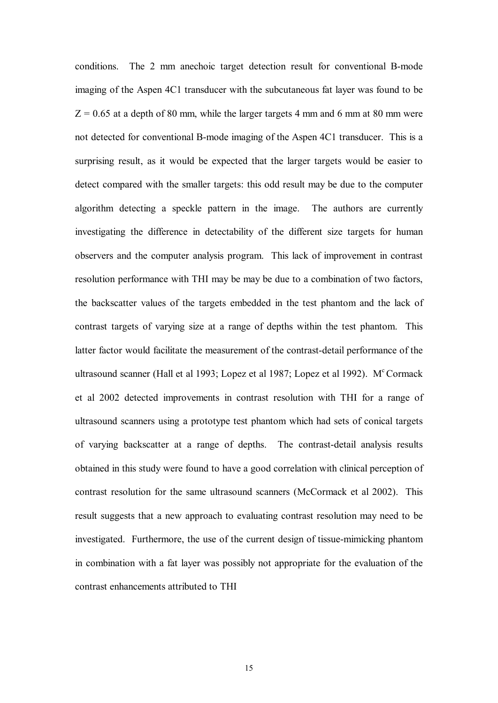conditions. The 2 mm anechoic target detection result for conventional B-mode imaging of the Aspen 4C1 transducer with the subcutaneous fat layer was found to be  $Z = 0.65$  at a depth of 80 mm, while the larger targets 4 mm and 6 mm at 80 mm were not detected for conventional B-mode imaging of the Aspen 4C1 transducer. This is a surprising result, as it would be expected that the larger targets would be easier to detect compared with the smaller targets: this odd result may be due to the computer algorithm detecting a speckle pattern in the image. The authors are currently investigating the difference in detectability of the different size targets for human observers and the computer analysis program. This lack of improvement in contrast resolution performance with THI may be may be due to a combination of two factors, the backscatter values of the targets embedded in the test phantom and the lack of contrast targets of varying size at a range of depths within the test phantom. This latter factor would facilitate the measurement of the contrast-detail performance of the ultrasound scanner (Hall et al 1993; Lopez et al 1987; Lopez et al 1992). M<sup>c</sup> Cormack et al 2002 detected improvements in contrast resolution with THI for a range of ultrasound scanners using a prototype test phantom which had sets of conical targets of varying backscatter at a range of depths. The contrast-detail analysis results obtained in this study were found to have a good correlation with clinical perception of contrast resolution for the same ultrasound scanners (McCormack et al 2002). This result suggests that a new approach to evaluating contrast resolution may need to be investigated. Furthermore, the use of the current design of tissue-mimicking phantom in combination with a fat layer was possibly not appropriate for the evaluation of the contrast enhancements attributed to THI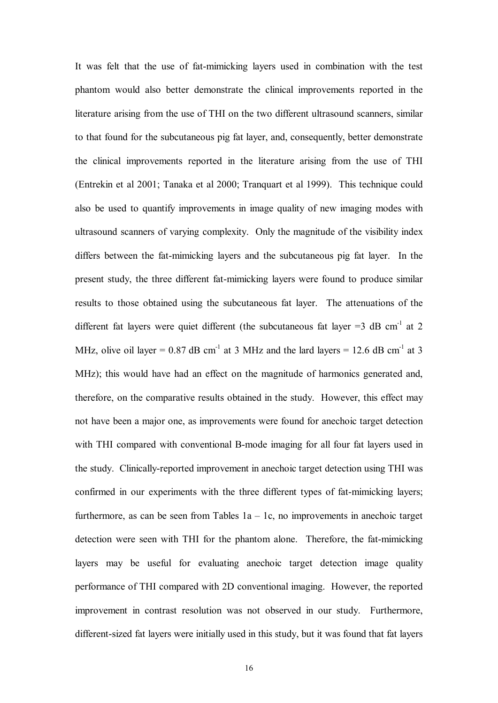It was felt that the use of fat-mimicking layers used in combination with the test phantom would also better demonstrate the clinical improvements reported in the literature arising from the use of THI on the two different ultrasound scanners, similar to that found for the subcutaneous pig fat layer, and, consequently, better demonstrate the clinical improvements reported in the literature arising from the use of THI (Entrekin et al 2001; Tanaka et al 2000; Tranquart et al 1999). This technique could also be used to quantify improvements in image quality of new imaging modes with ultrasound scanners of varying complexity. Only the magnitude of the visibility index differs between the fat-mimicking layers and the subcutaneous pig fat layer. In the present study, the three different fat-mimicking layers were found to produce similar results to those obtained using the subcutaneous fat layer. The attenuations of the different fat layers were quiet different (the subcutaneous fat layer  $=3$  dB cm<sup>-1</sup> at 2 MHz, olive oil layer =  $0.87$  dB cm<sup>-1</sup> at 3 MHz and the lard layers = 12.6 dB cm<sup>-1</sup> at 3 MHz); this would have had an effect on the magnitude of harmonics generated and, therefore, on the comparative results obtained in the study. However, this effect may not have been a major one, as improvements were found for anechoic target detection with THI compared with conventional B-mode imaging for all four fat layers used in the study. Clinically-reported improvement in anechoic target detection using THI was confirmed in our experiments with the three different types of fat-mimicking layers; furthermore, as can be seen from Tables  $1a - 1c$ , no improvements in anechoic target detection were seen with THI for the phantom alone. Therefore, the fat-mimicking layers may be useful for evaluating anechoic target detection image quality performance of THI compared with 2D conventional imaging. However, the reported improvement in contrast resolution was not observed in our study. Furthermore, different-sized fat layers were initially used in this study, but it was found that fat layers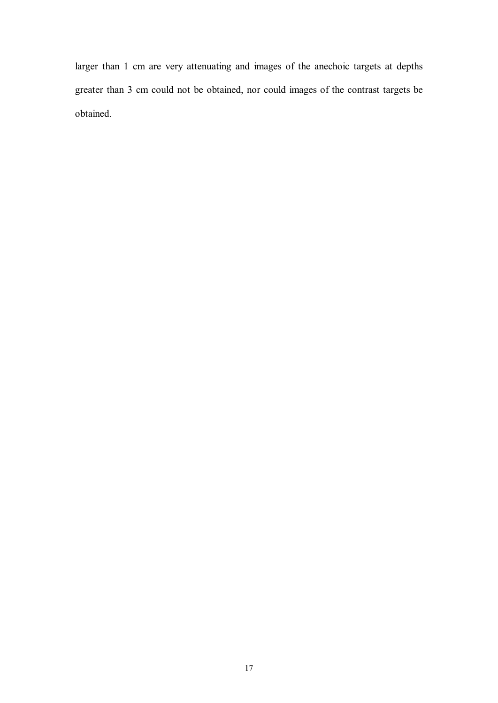larger than 1 cm are very attenuating and images of the anechoic targets at depths greater than 3 cm could not be obtained, nor could images of the contrast targets be obtained.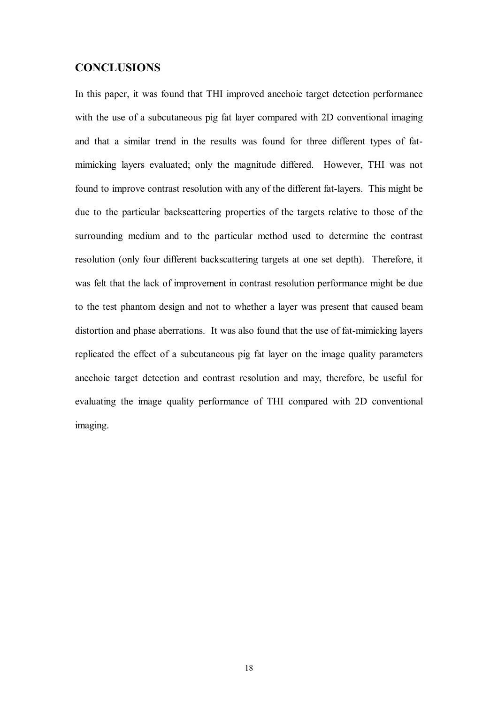#### **CONCLUSIONS**

In this paper, it was found that THI improved anechoic target detection performance with the use of a subcutaneous pig fat layer compared with 2D conventional imaging and that a similar trend in the results was found for three different types of fat mimicking layers evaluated; only the magnitude differed. However, THI was not found to improve contrast resolution with any of the different fat-layers. This might be due to the particular backscattering properties of the targets relative to those of the surrounding medium and to the particular method used to determine the contrast resolution (only four different backscattering targets at one set depth). Therefore, it was felt that the lack of improvement in contrast resolution performance might be due to the test phantom design and not to whether a layer was present that caused beam distortion and phase aberrations. It was also found that the use of fat-mimicking layers replicated the effect of a subcutaneous pig fat layer on the image quality parameters anechoic target detection and contrast resolution and may, therefore, be useful for evaluating the image quality performance of THI compared with 2D conventional imaging.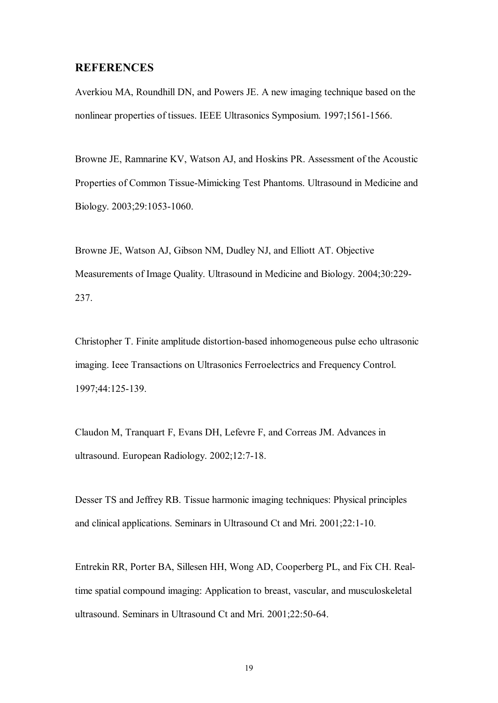#### **REFERENCES**

Averkiou MA, Roundhill DN, and Powers JE. A new imaging technique based on the nonlinear properties of tissues. IEEE Ultrasonics Symposium. 1997;1561-1566.

Browne JE, Ramnarine KV, Watson AJ, and Hoskins PR. Assessment of the Acoustic Properties of Common Tissue-Mimicking Test Phantoms. Ultrasound in Medicine and Biology. 2003;29:1053-1060.

Browne JE, Watson AJ, Gibson NM, Dudley NJ, and Elliott AT. Objective Measurements of Image Quality. Ultrasound in Medicine and Biology. 2004;30:229 237.

Christopher T. Finite amplitude distortion-based inhomogeneous pulse echo ultrasonic imaging. Ieee Transactions on Ultrasonics Ferroelectrics and Frequency Control. 1997;44:125139.

Claudon M, Tranquart F, Evans DH, Lefevre F, and Correas JM. Advances in ultrasound. European Radiology. 2002;12:7-18.

Desser TS and Jeffrey RB. Tissue harmonic imaging techniques: Physical principles and clinical applications. Seminars in Ultrasound Ct and Mri. 2001;22:1-10.

Entrekin RR, Porter BA, Sillesen HH, Wong AD, Cooperberg PL, and Fix CH. Realtime spatial compound imaging: Application to breast, vascular, and musculoskeletal ultrasound. Seminars in Ultrasound Ct and Mri. 2001;22:50-64.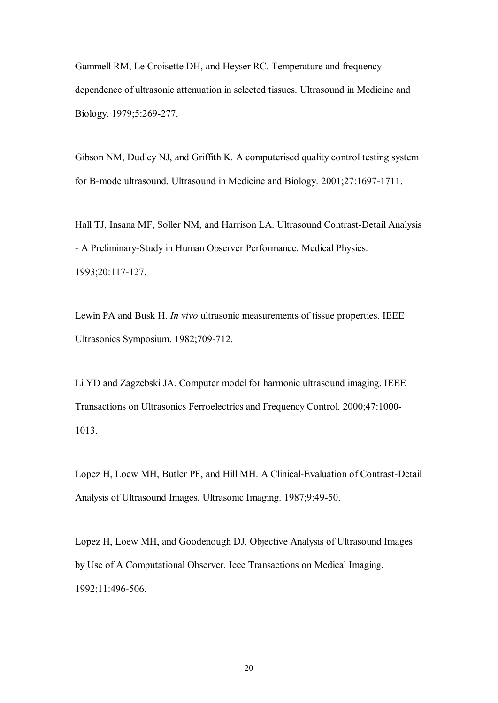Gammell RM, Le Croisette DH, and Heyser RC. Temperature and frequency dependence of ultrasonic attenuation in selected tissues. Ultrasound in Medicine and Biology. 1979;5:269-277.

Gibson NM, Dudley NJ, and Griffith K. A computerised quality control testing system for B-mode ultrasound. Ultrasound in Medicine and Biology. 2001;27:1697-1711.

Hall TJ, Insana MF, Soller NM, and Harrison LA. Ultrasound Contrast-Detail Analysis - A Preliminary-Study in Human Observer Performance. Medical Physics. 1993;20:117127.

Lewin PA and Busk H. *In vivo* ultrasonic measurements of tissue properties. IEEE Ultrasonics Symposium. 1982;709-712.

Li YD and Zagzebski JA. Computer model for harmonic ultrasound imaging. IEEE Transactions on Ultrasonics Ferroelectrics and Frequency Control. 2000;47:1000 1013.

Lopez H, Loew MH, Butler PF, and Hill MH. A Clinical-Evaluation of Contrast-Detail Analysis of Ultrasound Images. Ultrasonic Imaging. 1987;9:49-50.

Lopez H, Loew MH, and Goodenough DJ. Objective Analysis of Ultrasound Images by Use of A Computational Observer. Ieee Transactions on Medical Imaging. 1992;11:496-506.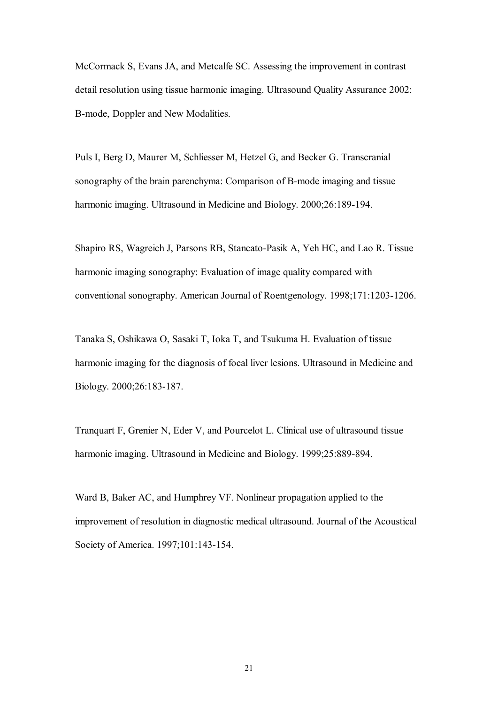McCormack S, Evans JA, and Metcalfe SC. Assessing the improvement in contrast detail resolution using tissue harmonic imaging. Ultrasound Quality Assurance 2002: B-mode, Doppler and New Modalities.

Puls I, Berg D, Maurer M, Schliesser M, Hetzel G, and Becker G. Transcranial sonography of the brain parenchyma: Comparison of B-mode imaging and tissue harmonic imaging. Ultrasound in Medicine and Biology. 2000;26:189-194.

Shapiro RS, Wagreich J, Parsons RB, Stancato-Pasik A, Yeh HC, and Lao R. Tissue harmonic imaging sonography: Evaluation of image quality compared with conventional sonography. American Journal of Roentgenology. 1998;171:1203-1206.

Tanaka S, Oshikawa O, Sasaki T, Ioka T, and Tsukuma H. Evaluation of tissue harmonic imaging for the diagnosis of focal liver lesions. Ultrasound in Medicine and Biology. 2000;26:183-187.

Tranquart F, Grenier N, Eder V, and Pourcelot L. Clinical use of ultrasound tissue harmonic imaging. Ultrasound in Medicine and Biology. 1999;25:889-894.

Ward B, Baker AC, and Humphrey VF. Nonlinear propagation applied to the improvement of resolution in diagnostic medical ultrasound. Journal of the Acoustical Society of America. 1997;101:143-154.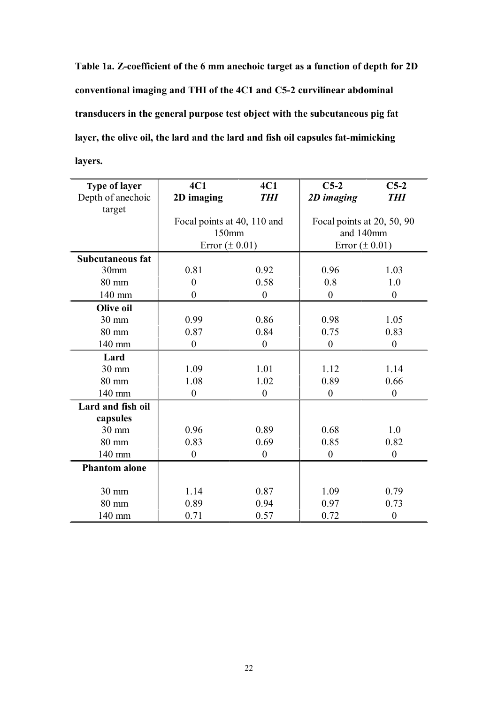**Table 1a. Zcoefficient of the 6 mm anechoic target as a function of depth for 2D conventional imaging and THI of the 4C1 and C52 curvilinear abdominal transducers in the general purpose test object with the subcutaneous pig fat layer, the olive oil, the lard and the lard and fish oil capsules fatmimicking layers.**

| <b>Type of layer</b>    | 4C1                | 4C1                         | $C5-2$             | $C5-2$                     |  |
|-------------------------|--------------------|-----------------------------|--------------------|----------------------------|--|
| Depth of anechoic       | 2D imaging         | <b>THI</b>                  | 2D imaging         | <b>THI</b>                 |  |
| target                  |                    |                             |                    |                            |  |
|                         |                    | Focal points at 40, 110 and |                    | Focal points at 20, 50, 90 |  |
|                         |                    | 150mm                       |                    | and 140mm                  |  |
|                         | Error $(\pm 0.01)$ |                             | Error $(\pm 0.01)$ |                            |  |
| <b>Subcutaneous fat</b> |                    |                             |                    |                            |  |
| 30mm                    | 0.81               | 0.92                        | 0.96               | 1.03                       |  |
| 80 mm                   | $\overline{0}$     | 0.58                        | 0.8                | 1.0                        |  |
| 140 mm                  | $\boldsymbol{0}$   | $\boldsymbol{0}$            | $\boldsymbol{0}$   | $\boldsymbol{0}$           |  |
| <b>Olive oil</b>        |                    |                             |                    |                            |  |
| $30 \text{ mm}$         | 0.99               | 0.86                        | 0.98               | 1.05                       |  |
| 80 mm                   | 0.87               | 0.84                        | 0.75               | 0.83                       |  |
| 140 mm                  | $\boldsymbol{0}$   | $\boldsymbol{0}$            | $\boldsymbol{0}$   | $\boldsymbol{0}$           |  |
| Lard                    |                    |                             |                    |                            |  |
| 30 mm                   | 1.09               | 1.01                        | 1.12               | 1.14                       |  |
| 80 mm                   | 1.08               | 1.02                        | 0.89               | 0.66                       |  |
| 140 mm                  | $\boldsymbol{0}$   | $\boldsymbol{0}$            | $\overline{0}$     | $\boldsymbol{0}$           |  |
| Lard and fish oil       |                    |                             |                    |                            |  |
| capsules                |                    |                             |                    |                            |  |
| $30 \text{ mm}$         | 0.96               | 0.89                        | 0.68               | 1.0                        |  |
| 80 mm                   | 0.83               | 0.69                        | 0.85               | 0.82                       |  |
| 140 mm                  | $\boldsymbol{0}$   | $\boldsymbol{0}$            | $\boldsymbol{0}$   | $\boldsymbol{0}$           |  |
| <b>Phantom alone</b>    |                    |                             |                    |                            |  |
|                         |                    |                             |                    |                            |  |
| 30 mm                   | 1.14               | 0.87                        | 1.09               | 0.79                       |  |
| 80 mm                   | 0.89               | 0.94                        | 0.97               | 0.73                       |  |
| 140 mm                  | 0.71               | 0.57                        | 0.72               | $\boldsymbol{0}$           |  |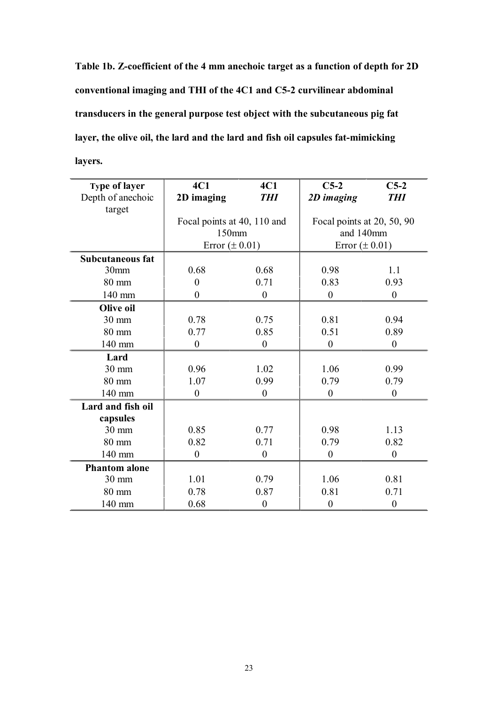**Table 1b. Zcoefficient of the 4 mm anechoic target as a function of depth for 2D conventional imaging and THI of the 4C1 and C52 curvilinear abdominal transducers in the general purpose test object with the subcutaneous pig fat layer, the olive oil, the lard and the lard and fish oil capsules fatmimicking layers.**

| <b>Type of layer</b>    | 4C1                         | 4C1              | $C5-2$                                  | $C5-2$           |
|-------------------------|-----------------------------|------------------|-----------------------------------------|------------------|
| Depth of anechoic       | 2D imaging                  | <b>THI</b>       | 2D imaging                              | <b>THI</b>       |
| target                  |                             |                  |                                         |                  |
|                         | Focal points at 40, 110 and |                  | Focal points at 20, 50, 90<br>and 140mm |                  |
|                         | 150mm                       |                  |                                         |                  |
|                         | Error $(\pm 0.01)$          |                  | Error $(\pm 0.01)$                      |                  |
| <b>Subcutaneous fat</b> |                             |                  |                                         |                  |
| 30 <sub>mm</sub>        | 0.68                        | 0.68             | 0.98                                    | 1.1              |
| $80 \text{ mm}$         | $\overline{0}$              | 0.71             | 0.83                                    | 0.93             |
| 140 mm                  | $\overline{0}$              | $\overline{0}$   | $\boldsymbol{0}$                        | $\boldsymbol{0}$ |
| Olive oil               |                             |                  |                                         |                  |
| 30 mm                   | 0.78                        | 0.75             | 0.81                                    | 0.94             |
| $80 \text{ mm}$         | 0.77                        | 0.85             | 0.51                                    | 0.89             |
| 140 mm                  | $\boldsymbol{0}$            | $\boldsymbol{0}$ | $\boldsymbol{0}$                        | $\boldsymbol{0}$ |
| Lard                    |                             |                  |                                         |                  |
| $30 \text{ mm}$         | 0.96                        | 1.02             | 1.06                                    | 0.99             |
| 80 mm                   | 1.07                        | 0.99             | 0.79                                    | 0.79             |
| 140 mm                  | $\boldsymbol{0}$            | $\overline{0}$   | $\boldsymbol{0}$                        | $\boldsymbol{0}$ |
| Lard and fish oil       |                             |                  |                                         |                  |
| capsules                |                             |                  |                                         |                  |
| 30 mm                   | 0.85                        | 0.77             | 0.98                                    | 1.13             |
| 80 mm                   | 0.82                        | 0.71             | 0.79                                    | 0.82             |
| 140 mm                  | $\overline{0}$              | $\overline{0}$   | $\boldsymbol{0}$                        | $\boldsymbol{0}$ |
| <b>Phantom alone</b>    |                             |                  |                                         |                  |
| 30 mm                   | 1.01                        | 0.79             | 1.06                                    | 0.81             |
| 80 mm                   | 0.78                        | 0.87             | 0.81                                    | 0.71             |
| 140 mm                  | 0.68                        | $\theta$         | $\boldsymbol{0}$                        | $\boldsymbol{0}$ |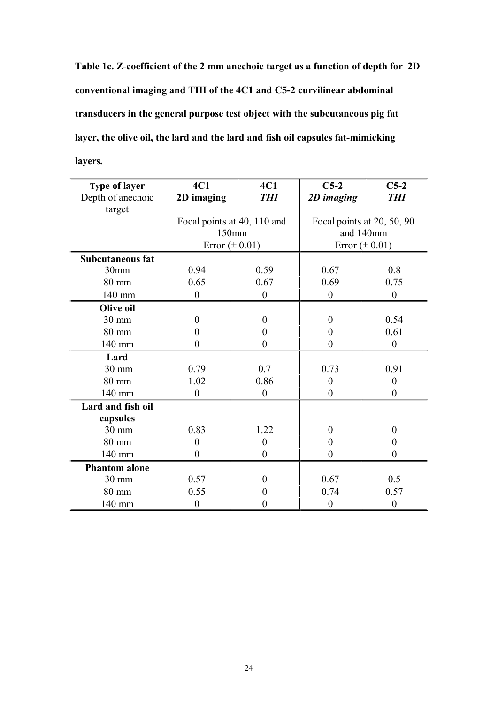**Table 1c. Zcoefficient of the 2 mm anechoic target as a function of depth for 2D conventional imaging and THI of the 4C1 and C52 curvilinear abdominal transducers in the general purpose test object with the subcutaneous pig fat layer, the olive oil, the lard and the lard and fish oil capsules fatmimicking layers.**

| <b>Type of layer</b><br>Depth of anechoic | 4C1<br>2D imaging           | 4C1<br><b>THI</b> | $C5-2$<br>2D imaging       | $C5-2$<br><b>THI</b> |
|-------------------------------------------|-----------------------------|-------------------|----------------------------|----------------------|
| target                                    |                             |                   |                            |                      |
|                                           | Focal points at 40, 110 and |                   | Focal points at 20, 50, 90 |                      |
|                                           | 150mm                       |                   | and 140mm                  |                      |
|                                           | Error $(\pm 0.01)$          |                   | Error $(\pm 0.01)$         |                      |
| <b>Subcutaneous fat</b>                   |                             |                   |                            |                      |
| 30mm                                      | 0.94                        | 0.59              | 0.67                       | 0.8                  |
| $80 \text{ mm}$                           | 0.65                        | 0.67              | 0.69                       | 0.75                 |
| 140 mm                                    | $\boldsymbol{0}$            | $\boldsymbol{0}$  | $\boldsymbol{0}$           | $\boldsymbol{0}$     |
| Olive oil                                 |                             |                   |                            |                      |
| 30 mm                                     | $\overline{0}$              | $\overline{0}$    | $\overline{0}$             | 0.54                 |
| $80 \text{ mm}$                           | $\theta$                    | $\theta$          | $\theta$                   | 0.61                 |
| 140 mm                                    | $\overline{0}$              | $\theta$          | $\boldsymbol{0}$           | $\boldsymbol{0}$     |
| Lard                                      |                             |                   |                            |                      |
| $30 \text{ mm}$                           | 0.79                        | 0.7               | 0.73                       | 0.91                 |
| $80 \text{ mm}$                           | 1.02                        | 0.86              | $\overline{0}$             | $\overline{0}$       |
| 140 mm                                    | $\boldsymbol{0}$            | $\boldsymbol{0}$  | $\boldsymbol{0}$           | $\overline{0}$       |
| Lard and fish oil                         |                             |                   |                            |                      |
| capsules                                  |                             |                   |                            |                      |
| 30 mm                                     | 0.83                        | 1.22              | $\theta$                   | $\Omega$             |
| $80 \text{ mm}$                           | $\overline{0}$              | $\theta$          | $\overline{0}$             | $\theta$             |
| 140 mm                                    | $\boldsymbol{0}$            | $\boldsymbol{0}$  | $\boldsymbol{0}$           | $\overline{0}$       |
| <b>Phantom alone</b>                      |                             |                   |                            |                      |
| 30 mm                                     | 0.57                        | $\theta$          | 0.67                       | 0.5                  |
| 80 mm                                     | 0.55                        | 0                 | 0.74                       | 0.57                 |
| 140 mm                                    | $\boldsymbol{0}$            | 0                 | $\boldsymbol{0}$           | $\boldsymbol{0}$     |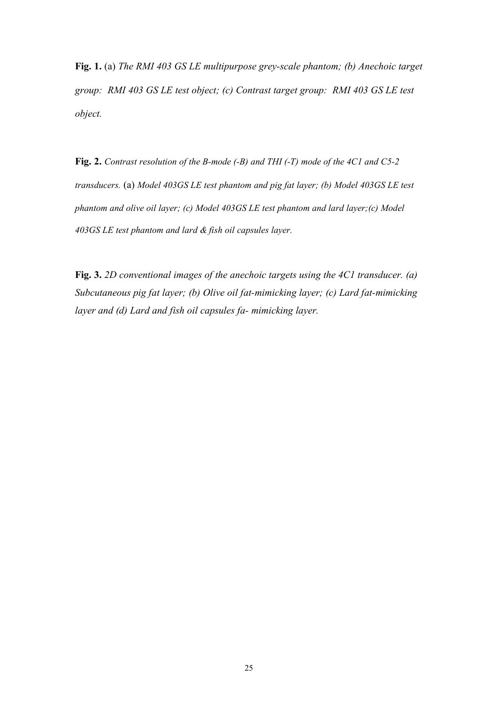**Fig. 1.** (a) *The RMI 403 GS LE multipurpose greyscale phantom; (b) Anechoic target group: RMI 403 GS LE test object; (c) Contrast target group: RMI 403 GS LE test object.*

**Fig. 2.** Contrast resolution of the B-mode (-B) and THI (-T) mode of the 4C1 and C5-2 *transducers.* (a) *Model 403GS LE test phantom and pig fat layer; (b) Model 403GS LE test phantom and olive oil layer; (c) Model 403GS LE test phantom and lard layer;(c) Model 403GS LE test phantom and lard & fish oil capsules layer.*

**Fig. 3.** *2D conventional images of the anechoic targets using the 4C1 transducer. (a) Subcutaneous pig fat layer; (b) Olive oil fat-mimicking layer; (c) Lard fat-mimicking layer and (d) Lard and fish oil capsules fa- mimicking layer.*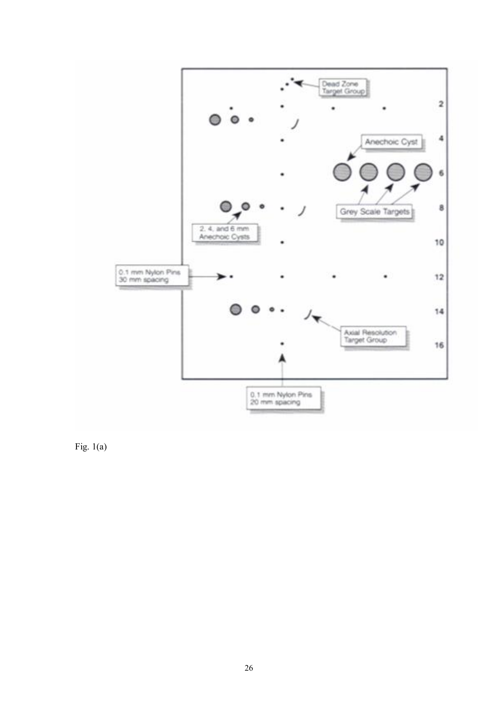

Fig.  $1(a)$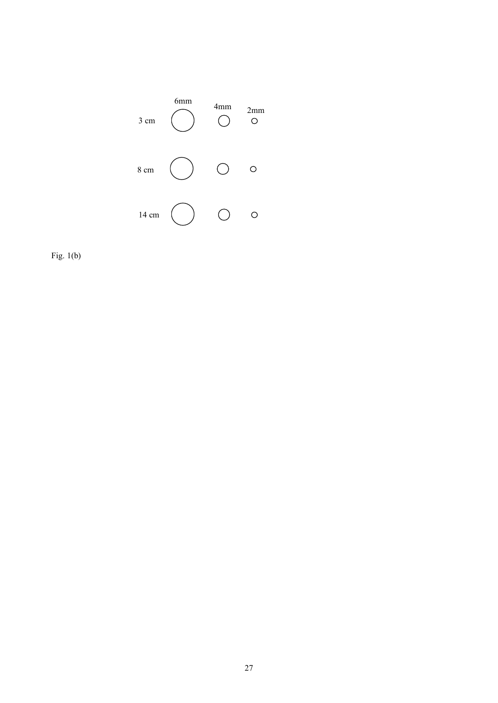

Fig. 1(b)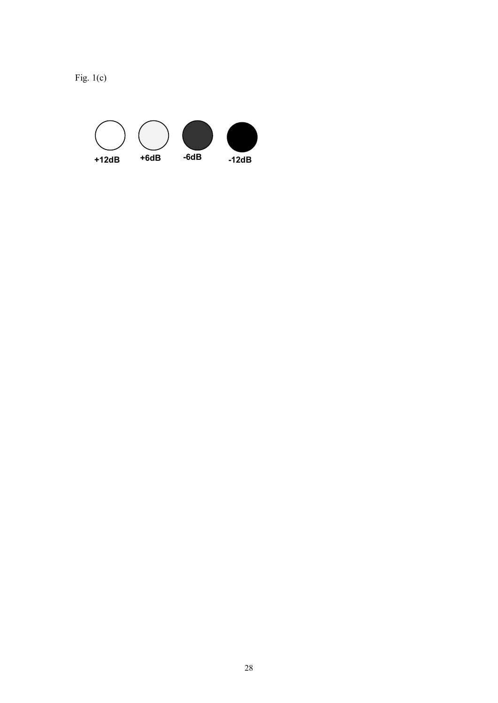

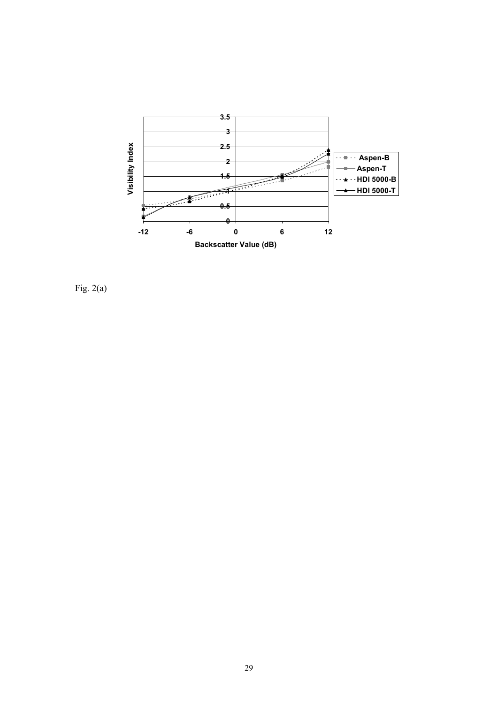

Fig. 2(a)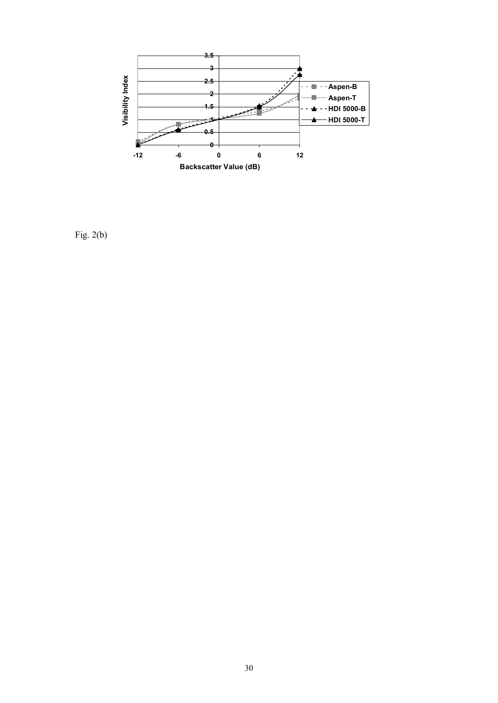

Fig. 2(b)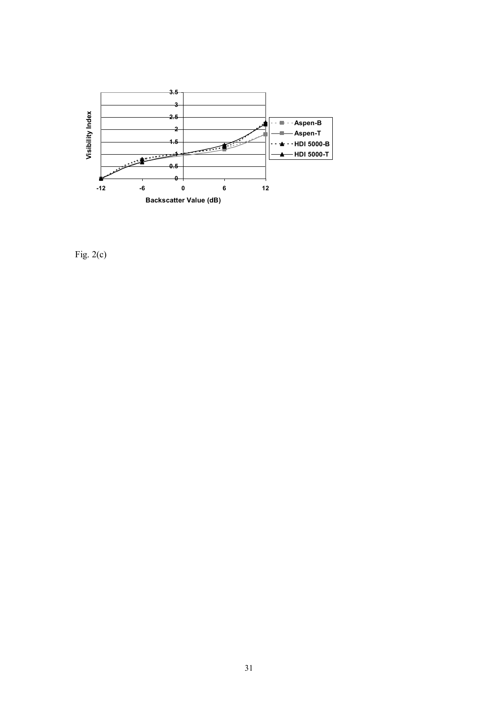

Fig. 2(c)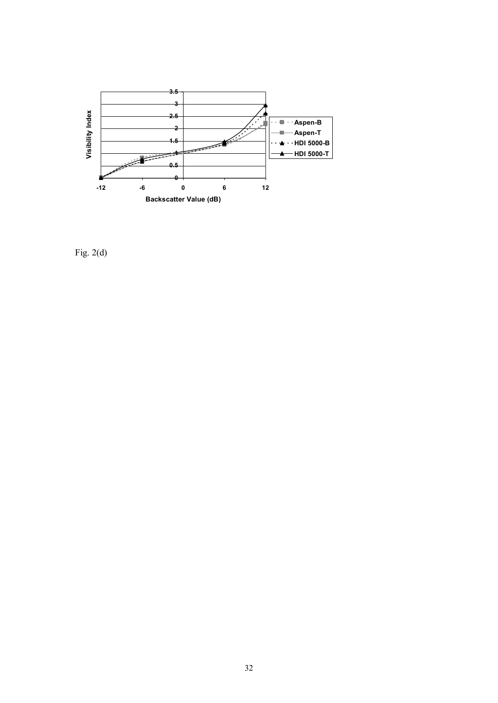

Fig. 2(d)